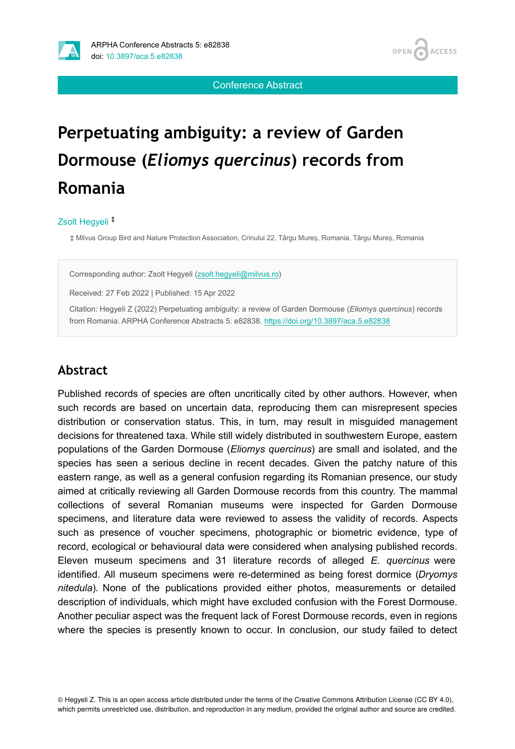



Conference Abstract

# **Perpetuating ambiguity: a review of Garden Dormouse (***Eliomys quercinus***) records from Romania**

#### Zsolt Hegyeli ‡

‡ Milvus Group Bird and Nature Protection Association, Crinului 22, Târgu Mureș, Romania, Târgu Mureș, Romania

Corresponding author: Zsolt Hegyeli [\(zsolt.hegyeli@milvus.ro\)](mailto:zsolt.hegyeli@milvus.ro)

Received: 27 Feb 2022 | Published: 15 Apr 2022

Citation: Hegyeli Z (2022) Perpetuating ambiguity: a review of Garden Dormouse (*Eliomys quercinus*) records from Romania. ARPHA Conference Abstracts 5: e82838. <https://doi.org/10.3897/aca.5.e82838>

#### **Abstract**

Published records of species are often uncritically cited by other authors. However, when such records are based on uncertain data, reproducing them can misrepresent species distribution or conservation status. This, in turn, may result in misguided management decisions for threatened taxa. While still widely distributed in southwestern Europe, eastern populations of the Garden Dormouse (*Eliomys quercinus*) are small and isolated, and the species has seen a serious decline in recent decades. Given the patchy nature of this eastern range, as well as a general confusion regarding its Romanian presence, our study aimed at critically reviewing all Garden Dormouse records from this country. The mammal collections of several Romanian museums were inspected for Garden Dormouse specimens, and literature data were reviewed to assess the validity of records. Aspects such as presence of voucher specimens, photographic or biometric evidence, type of record, ecological or behavioural data were considered when analysing published records. Eleven museum specimens and 31 literature records of alleged *E. quercinus* were identified. All museum specimens were re-determined as being forest dormice (*Dryomys nitedula*)*.* None of the publications provided either photos, measurements or detailed description of individuals, which might have excluded confusion with the Forest Dormouse. Another peculiar aspect was the frequent lack of Forest Dormouse records, even in regions where the species is presently known to occur. In conclusion, our study failed to detect